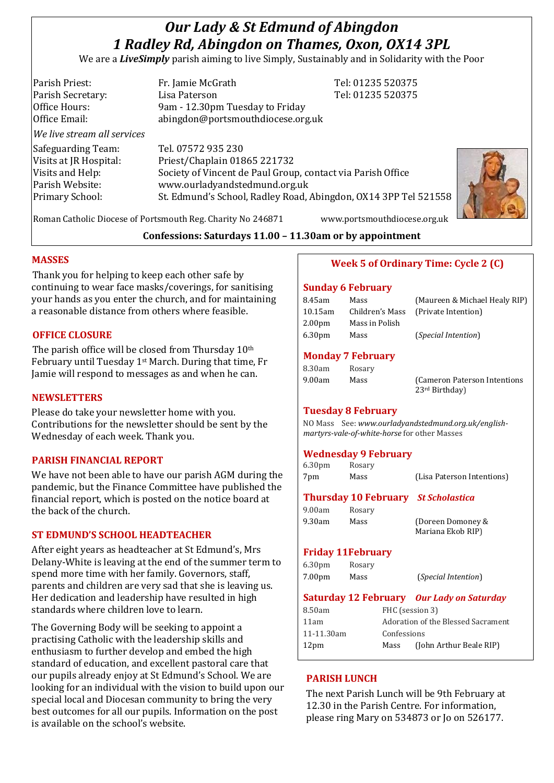# *Our Lady & St Edmund of Abingdon 1 Radley Rd, Abingdon on Thames, Oxon, OX14 3PL*

We are a *LiveSimply* parish aiming to live Simply, Sustainably and in Solidarity with the Poor

| Parish Priest:<br>Parish Secretary:<br>Office Hours:<br>Office Email:<br>We live stream all services   | Fr. Jamie McGrath<br>Lisa Paterson<br>9am - 12.30pm Tuesday to Friday<br>abingdon@portsmouthdiocese.org.uk                                                                                                            | Tel: 01235 520375<br>Tel: 01235 520375 |
|--------------------------------------------------------------------------------------------------------|-----------------------------------------------------------------------------------------------------------------------------------------------------------------------------------------------------------------------|----------------------------------------|
| Safeguarding Team:<br>Visits at JR Hospital:<br>Visits and Help:<br>Parish Website:<br>Primary School: | Tel. 07572 935 230<br>Priest/Chaplain 01865 221732<br>Society of Vincent de Paul Group, contact via Parish Office<br>www.ourladyandstedmund.org.uk<br>St. Edmund's School, Radley Road, Abingdon, OX14 3PP Tel 521558 |                                        |



Roman Catholic Diocese of Portsmouth Reg. Charity No 246871 www.portsmouthdiocese.org.uk

# **Confessions: Saturdays 11.00 – 11.30am or by appointment**

# **MASSES**

Thank you for helping to keep each other safe by continuing to wear face masks/coverings, for sanitising your hands as you enter the church, and for maintaining a reasonable distance from others where feasible.

# **OFFICE CLOSURE**

The parish office will be closed from Thursday 10th February until Tuesday 1st March. During that time, Fr Jamie will respond to messages as and when he can.

#### **NEWSLETTERS**

Please do take your newsletter home with you. Contributions for the newsletter should be sent by the Wednesday of each week. Thank you.

# **PARISH FINANCIAL REPORT**

We have not been able to have our parish AGM during the pandemic, but the Finance Committee have published the financial report, which is posted on the notice board at the back of the church.

#### **ST EDMUND'S SCHOOL HEADTEACHER**

After eight years as headteacher at St Edmund's, Mrs Delany-White is leaving at the end of the summer term to spend more time with her family. Governors, staff, parents and children are very sad that she is leaving us. Her dedication and leadership have resulted in high standards where children love to learn.

The Governing Body will be seeking to appoint a practising Catholic with the leadership skills and enthusiasm to further develop and embed the high standard of education, and excellent pastoral care that our pupils already enjoy at St Edmund's School. We are looking for an individual with the vision to build upon our special local and Diocesan community to bring the very best outcomes for all our pupils. Information on the post is available on the school's website.

# **Week 5 of Ordinary Time: Cycle 2 (C)**

#### **Sunday 6 February**

| 8.45am  | Mass            | (Maureen & Michael Healy RIP) |
|---------|-----------------|-------------------------------|
| 10.15am | Children's Mass | (Private Intention)           |
| 2.00pm  | Mass in Polish  |                               |
| 6.30pm  | Mass            | <i>(Special Intention)</i>    |
|         |                 |                               |

#### **Monday 7 February**

| 8.30am | Rosary |                              |
|--------|--------|------------------------------|
| 9.00am | Mass   | (Cameron Paterson Intentions |
|        |        | 23 <sup>rd</sup> Birthday    |

#### **Tuesday 8 February**

NO Mass See: *www.ourladyandstedmund.org.uk/englishmartyrs-vale-of-white-horse* for other Masses

# **Wednesday 9 February**

| 6.30 <sub>pm</sub> | Rosary |                            |
|--------------------|--------|----------------------------|
| 7pm                | Mass   | (Lisa Paterson Intentions) |

# **Thursday 10 February** *St Scholastica*

9.30am Mass (Doreen Domoney & Mariana Ekob RIP)

#### **Friday 11February**

9.00am Rosary

| 6.30 <sub>pm</sub> | Rosary |                              |
|--------------------|--------|------------------------------|
| 7.00pm             | Mass   | ( <i>Special Intention</i> ) |

# **Saturday 12 February** *Our Lady on Saturday*

| 8.50am           | FHC (session 3)                    |                         |
|------------------|------------------------------------|-------------------------|
| 11am             | Adoration of the Blessed Sacrament |                         |
| 11-11.30am       | Confessions                        |                         |
| 12 <sub>pm</sub> | Mass                               | (John Arthur Beale RIP) |
|                  |                                    |                         |

#### **PARISH LUNCH**

The next Parish Lunch will be 9th February at 12.30 in the Parish Centre. For information, please ring Mary on 534873 or Jo on 526177.